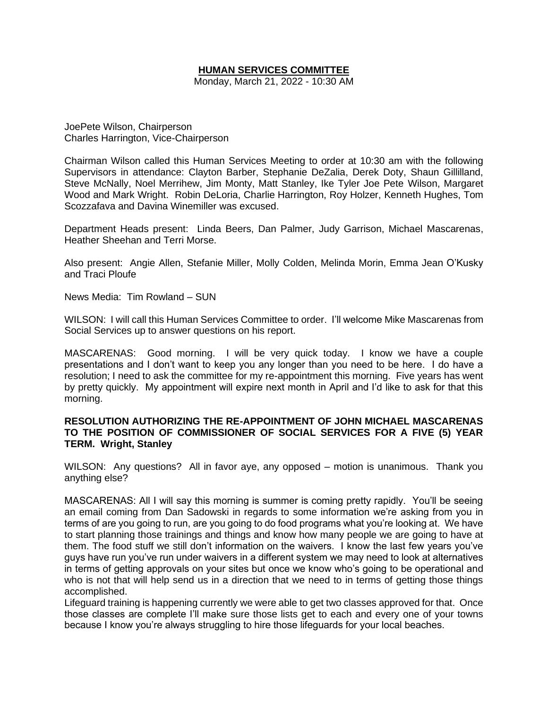# **HUMAN SERVICES COMMITTEE**

Monday, March 21, 2022 - 10:30 AM

JoePete Wilson, Chairperson Charles Harrington, Vice-Chairperson

Chairman Wilson called this Human Services Meeting to order at 10:30 am with the following Supervisors in attendance: Clayton Barber, Stephanie DeZalia, Derek Doty, Shaun Gillilland, Steve McNally, Noel Merrihew, Jim Monty, Matt Stanley, Ike Tyler Joe Pete Wilson, Margaret Wood and Mark Wright. Robin DeLoria, Charlie Harrington, Roy Holzer, Kenneth Hughes, Tom Scozzafava and Davina Winemiller was excused.

Department Heads present: Linda Beers, Dan Palmer, Judy Garrison, Michael Mascarenas, Heather Sheehan and Terri Morse.

Also present: Angie Allen, Stefanie Miller, Molly Colden, Melinda Morin, Emma Jean O'Kusky and Traci Ploufe

News Media: Tim Rowland – SUN

WILSON: I will call this Human Services Committee to order. I'll welcome Mike Mascarenas from Social Services up to answer questions on his report.

MASCARENAS: Good morning. I will be very quick today. I know we have a couple presentations and I don't want to keep you any longer than you need to be here. I do have a resolution; I need to ask the committee for my re-appointment this morning. Five years has went by pretty quickly. My appointment will expire next month in April and I'd like to ask for that this morning.

## **RESOLUTION AUTHORIZING THE RE-APPOINTMENT OF JOHN MICHAEL MASCARENAS TO THE POSITION OF COMMISSIONER OF SOCIAL SERVICES FOR A FIVE (5) YEAR TERM. Wright, Stanley**

WILSON: Any questions? All in favor aye, any opposed – motion is unanimous. Thank you anything else?

MASCARENAS: All I will say this morning is summer is coming pretty rapidly. You'll be seeing an email coming from Dan Sadowski in regards to some information we're asking from you in terms of are you going to run, are you going to do food programs what you're looking at. We have to start planning those trainings and things and know how many people we are going to have at them. The food stuff we still don't information on the waivers. I know the last few years you've guys have run you've run under waivers in a different system we may need to look at alternatives in terms of getting approvals on your sites but once we know who's going to be operational and who is not that will help send us in a direction that we need to in terms of getting those things accomplished.

Lifeguard training is happening currently we were able to get two classes approved for that. Once those classes are complete I'll make sure those lists get to each and every one of your towns because I know you're always struggling to hire those lifeguards for your local beaches.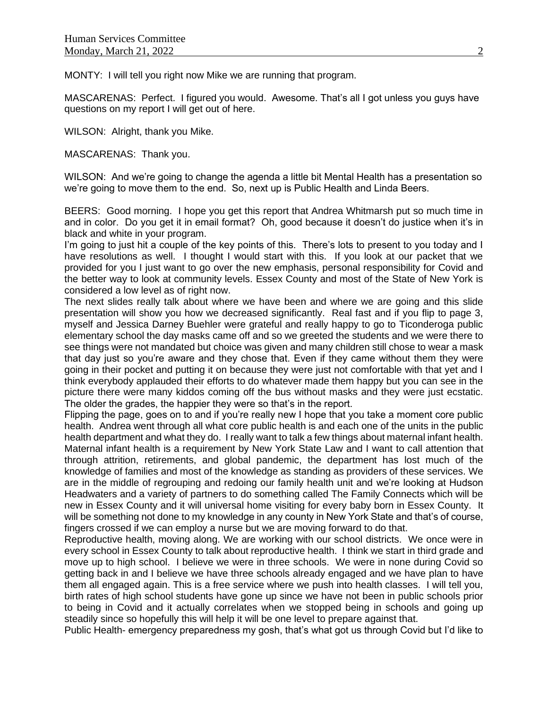MONTY: I will tell you right now Mike we are running that program.

MASCARENAS: Perfect. I figured you would. Awesome. That's all I got unless you guys have questions on my report I will get out of here.

WILSON: Alright, thank you Mike.

MASCARENAS: Thank you.

WILSON: And we're going to change the agenda a little bit Mental Health has a presentation so we're going to move them to the end. So, next up is Public Health and Linda Beers.

BEERS: Good morning. I hope you get this report that Andrea Whitmarsh put so much time in and in color. Do you get it in email format? Oh, good because it doesn't do justice when it's in black and white in your program.

I'm going to just hit a couple of the key points of this. There's lots to present to you today and I have resolutions as well. I thought I would start with this. If you look at our packet that we provided for you I just want to go over the new emphasis, personal responsibility for Covid and the better way to look at community levels. Essex County and most of the State of New York is considered a low level as of right now.

The next slides really talk about where we have been and where we are going and this slide presentation will show you how we decreased significantly. Real fast and if you flip to page 3, myself and Jessica Darney Buehler were grateful and really happy to go to Ticonderoga public elementary school the day masks came off and so we greeted the students and we were there to see things were not mandated but choice was given and many children still chose to wear a mask that day just so you're aware and they chose that. Even if they came without them they were going in their pocket and putting it on because they were just not comfortable with that yet and I think everybody applauded their efforts to do whatever made them happy but you can see in the picture there were many kiddos coming off the bus without masks and they were just ecstatic. The older the grades, the happier they were so that's in the report.

Flipping the page, goes on to and if you're really new I hope that you take a moment core public health. Andrea went through all what core public health is and each one of the units in the public health department and what they do. I really want to talk a few things about maternal infant health. Maternal infant health is a requirement by New York State Law and I want to call attention that through attrition, retirements, and global pandemic, the department has lost much of the knowledge of families and most of the knowledge as standing as providers of these services. We are in the middle of regrouping and redoing our family health unit and we're looking at Hudson Headwaters and a variety of partners to do something called The Family Connects which will be new in Essex County and it will universal home visiting for every baby born in Essex County. It will be something not done to my knowledge in any county in New York State and that's of course, fingers crossed if we can employ a nurse but we are moving forward to do that.

Reproductive health, moving along. We are working with our school districts. We once were in every school in Essex County to talk about reproductive health. I think we start in third grade and move up to high school. I believe we were in three schools. We were in none during Covid so getting back in and I believe we have three schools already engaged and we have plan to have them all engaged again. This is a free service where we push into health classes. I will tell you, birth rates of high school students have gone up since we have not been in public schools prior to being in Covid and it actually correlates when we stopped being in schools and going up steadily since so hopefully this will help it will be one level to prepare against that.

Public Health- emergency preparedness my gosh, that's what got us through Covid but I'd like to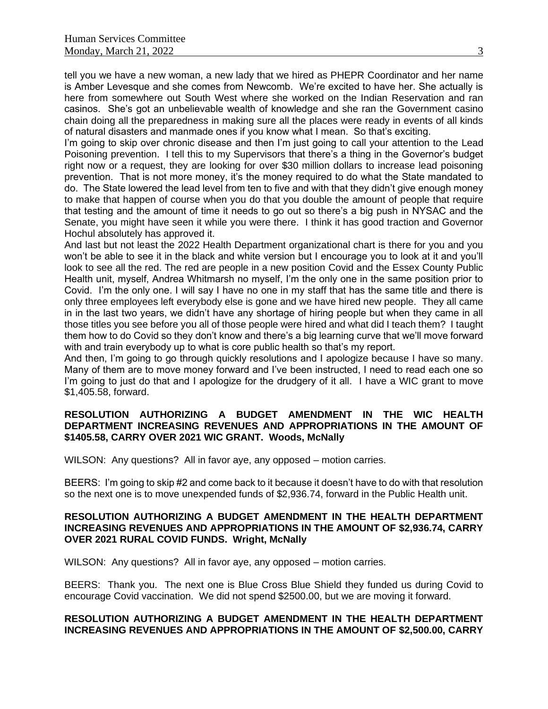tell you we have a new woman, a new lady that we hired as PHEPR Coordinator and her name is Amber Levesque and she comes from Newcomb. We're excited to have her. She actually is here from somewhere out South West where she worked on the Indian Reservation and ran casinos. She's got an unbelievable wealth of knowledge and she ran the Government casino chain doing all the preparedness in making sure all the places were ready in events of all kinds of natural disasters and manmade ones if you know what I mean. So that's exciting.

I'm going to skip over chronic disease and then I'm just going to call your attention to the Lead Poisoning prevention. I tell this to my Supervisors that there's a thing in the Governor's budget right now or a request, they are looking for over \$30 million dollars to increase lead poisoning prevention. That is not more money, it's the money required to do what the State mandated to do. The State lowered the lead level from ten to five and with that they didn't give enough money to make that happen of course when you do that you double the amount of people that require that testing and the amount of time it needs to go out so there's a big push in NYSAC and the Senate, you might have seen it while you were there. I think it has good traction and Governor Hochul absolutely has approved it.

And last but not least the 2022 Health Department organizational chart is there for you and you won't be able to see it in the black and white version but I encourage you to look at it and you'll look to see all the red. The red are people in a new position Covid and the Essex County Public Health unit, myself, Andrea Whitmarsh no myself, I'm the only one in the same position prior to Covid. I'm the only one. I will say I have no one in my staff that has the same title and there is only three employees left everybody else is gone and we have hired new people. They all came in in the last two years, we didn't have any shortage of hiring people but when they came in all those titles you see before you all of those people were hired and what did I teach them? I taught them how to do Covid so they don't know and there's a big learning curve that we'll move forward with and train everybody up to what is core public health so that's my report.

And then, I'm going to go through quickly resolutions and I apologize because I have so many. Many of them are to move money forward and I've been instructed, I need to read each one so I'm going to just do that and I apologize for the drudgery of it all. I have a WIC grant to move \$1,405.58, forward.

# **RESOLUTION AUTHORIZING A BUDGET AMENDMENT IN THE WIC HEALTH DEPARTMENT INCREASING REVENUES AND APPROPRIATIONS IN THE AMOUNT OF \$1405.58, CARRY OVER 2021 WIC GRANT. Woods, McNally**

WILSON: Any questions? All in favor aye, any opposed – motion carries.

BEERS: I'm going to skip #2 and come back to it because it doesn't have to do with that resolution so the next one is to move unexpended funds of \$2,936.74, forward in the Public Health unit.

# **RESOLUTION AUTHORIZING A BUDGET AMENDMENT IN THE HEALTH DEPARTMENT INCREASING REVENUES AND APPROPRIATIONS IN THE AMOUNT OF \$2,936.74, CARRY OVER 2021 RURAL COVID FUNDS. Wright, McNally**

WILSON: Any questions? All in favor aye, any opposed – motion carries.

BEERS: Thank you. The next one is Blue Cross Blue Shield they funded us during Covid to encourage Covid vaccination. We did not spend \$2500.00, but we are moving it forward.

# **RESOLUTION AUTHORIZING A BUDGET AMENDMENT IN THE HEALTH DEPARTMENT INCREASING REVENUES AND APPROPRIATIONS IN THE AMOUNT OF \$2,500.00, CARRY**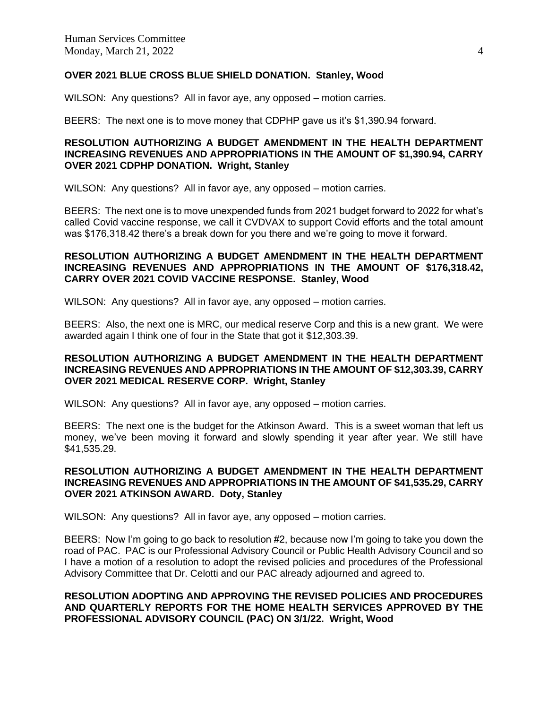# **OVER 2021 BLUE CROSS BLUE SHIELD DONATION. Stanley, Wood**

WILSON: Any questions? All in favor aye, any opposed – motion carries.

BEERS: The next one is to move money that CDPHP gave us it's \$1,390.94 forward.

# **RESOLUTION AUTHORIZING A BUDGET AMENDMENT IN THE HEALTH DEPARTMENT INCREASING REVENUES AND APPROPRIATIONS IN THE AMOUNT OF \$1,390.94, CARRY OVER 2021 CDPHP DONATION. Wright, Stanley**

WILSON: Any questions? All in favor aye, any opposed – motion carries.

BEERS: The next one is to move unexpended funds from 2021 budget forward to 2022 for what's called Covid vaccine response, we call it CVDVAX to support Covid efforts and the total amount was \$176,318.42 there's a break down for you there and we're going to move it forward.

# **RESOLUTION AUTHORIZING A BUDGET AMENDMENT IN THE HEALTH DEPARTMENT INCREASING REVENUES AND APPROPRIATIONS IN THE AMOUNT OF \$176,318.42, CARRY OVER 2021 COVID VACCINE RESPONSE. Stanley, Wood**

WILSON: Any questions? All in favor aye, any opposed – motion carries.

BEERS: Also, the next one is MRC, our medical reserve Corp and this is a new grant. We were awarded again I think one of four in the State that got it \$12,303.39.

## **RESOLUTION AUTHORIZING A BUDGET AMENDMENT IN THE HEALTH DEPARTMENT INCREASING REVENUES AND APPROPRIATIONS IN THE AMOUNT OF \$12,303.39, CARRY OVER 2021 MEDICAL RESERVE CORP. Wright, Stanley**

WILSON: Any questions? All in favor aye, any opposed – motion carries.

BEERS: The next one is the budget for the Atkinson Award. This is a sweet woman that left us money, we've been moving it forward and slowly spending it year after year. We still have \$41,535.29.

## **RESOLUTION AUTHORIZING A BUDGET AMENDMENT IN THE HEALTH DEPARTMENT INCREASING REVENUES AND APPROPRIATIONS IN THE AMOUNT OF \$41,535.29, CARRY OVER 2021 ATKINSON AWARD. Doty, Stanley**

WILSON: Any questions? All in favor aye, any opposed – motion carries.

BEERS: Now I'm going to go back to resolution #2, because now I'm going to take you down the road of PAC. PAC is our Professional Advisory Council or Public Health Advisory Council and so I have a motion of a resolution to adopt the revised policies and procedures of the Professional Advisory Committee that Dr. Celotti and our PAC already adjourned and agreed to.

## **RESOLUTION ADOPTING AND APPROVING THE REVISED POLICIES AND PROCEDURES AND QUARTERLY REPORTS FOR THE HOME HEALTH SERVICES APPROVED BY THE PROFESSIONAL ADVISORY COUNCIL (PAC) ON 3/1/22. Wright, Wood**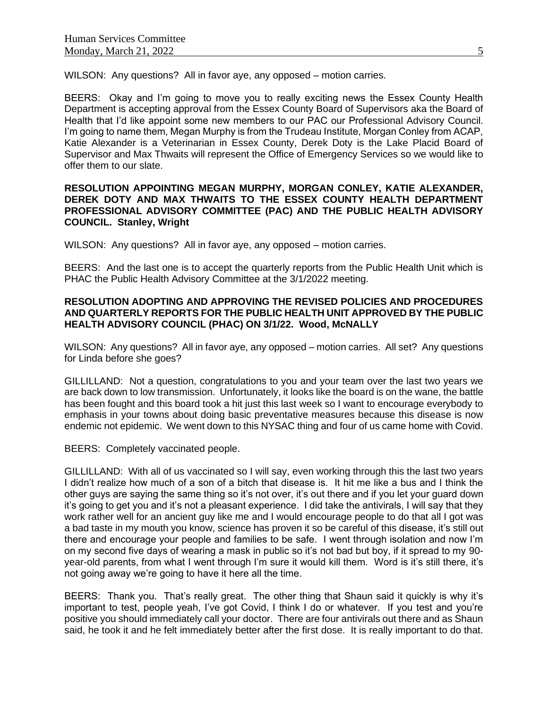WILSON: Any questions? All in favor aye, any opposed – motion carries.

BEERS: Okay and I'm going to move you to really exciting news the Essex County Health Department is accepting approval from the Essex County Board of Supervisors aka the Board of Health that I'd like appoint some new members to our PAC our Professional Advisory Council. I'm going to name them, Megan Murphy is from the Trudeau Institute, Morgan Conley from ACAP, Katie Alexander is a Veterinarian in Essex County, Derek Doty is the Lake Placid Board of Supervisor and Max Thwaits will represent the Office of Emergency Services so we would like to offer them to our slate.

## **RESOLUTION APPOINTING MEGAN MURPHY, MORGAN CONLEY, KATIE ALEXANDER, DEREK DOTY AND MAX THWAITS TO THE ESSEX COUNTY HEALTH DEPARTMENT PROFESSIONAL ADVISORY COMMITTEE (PAC) AND THE PUBLIC HEALTH ADVISORY COUNCIL. Stanley, Wright**

WILSON: Any questions? All in favor aye, any opposed – motion carries.

BEERS: And the last one is to accept the quarterly reports from the Public Health Unit which is PHAC the Public Health Advisory Committee at the 3/1/2022 meeting.

# **RESOLUTION ADOPTING AND APPROVING THE REVISED POLICIES AND PROCEDURES AND QUARTERLY REPORTS FOR THE PUBLIC HEALTH UNIT APPROVED BY THE PUBLIC HEALTH ADVISORY COUNCIL (PHAC) ON 3/1/22. Wood, McNALLY**

WILSON: Any questions? All in favor aye, any opposed – motion carries. All set? Any questions for Linda before she goes?

GILLILLAND: Not a question, congratulations to you and your team over the last two years we are back down to low transmission. Unfortunately, it looks like the board is on the wane, the battle has been fought and this board took a hit just this last week so I want to encourage everybody to emphasis in your towns about doing basic preventative measures because this disease is now endemic not epidemic. We went down to this NYSAC thing and four of us came home with Covid.

BEERS: Completely vaccinated people.

GILLILLAND: With all of us vaccinated so I will say, even working through this the last two years I didn't realize how much of a son of a bitch that disease is. It hit me like a bus and I think the other guys are saying the same thing so it's not over, it's out there and if you let your guard down it's going to get you and it's not a pleasant experience. I did take the antivirals, I will say that they work rather well for an ancient guy like me and I would encourage people to do that all I got was a bad taste in my mouth you know, science has proven it so be careful of this disease, it's still out there and encourage your people and families to be safe. I went through isolation and now I'm on my second five days of wearing a mask in public so it's not bad but boy, if it spread to my 90 year-old parents, from what I went through I'm sure it would kill them. Word is it's still there, it's not going away we're going to have it here all the time.

BEERS: Thank you. That's really great. The other thing that Shaun said it quickly is why it's important to test, people yeah, I've got Covid, I think I do or whatever. If you test and you're positive you should immediately call your doctor. There are four antivirals out there and as Shaun said, he took it and he felt immediately better after the first dose. It is really important to do that.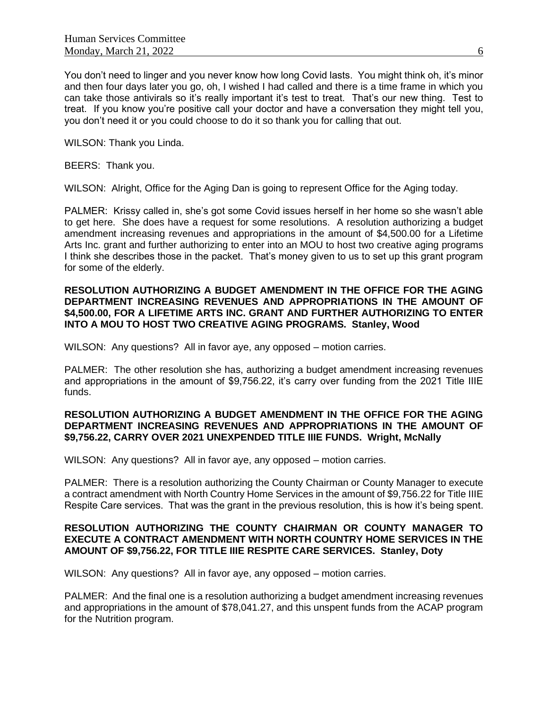You don't need to linger and you never know how long Covid lasts. You might think oh, it's minor and then four days later you go, oh, I wished I had called and there is a time frame in which you can take those antivirals so it's really important it's test to treat. That's our new thing. Test to treat. If you know you're positive call your doctor and have a conversation they might tell you, you don't need it or you could choose to do it so thank you for calling that out.

WILSON: Thank you Linda.

BEERS: Thank you.

WILSON: Alright, Office for the Aging Dan is going to represent Office for the Aging today.

PALMER: Krissy called in, she's got some Covid issues herself in her home so she wasn't able to get here. She does have a request for some resolutions. A resolution authorizing a budget amendment increasing revenues and appropriations in the amount of \$4,500.00 for a Lifetime Arts Inc. grant and further authorizing to enter into an MOU to host two creative aging programs I think she describes those in the packet. That's money given to us to set up this grant program for some of the elderly.

## **RESOLUTION AUTHORIZING A BUDGET AMENDMENT IN THE OFFICE FOR THE AGING DEPARTMENT INCREASING REVENUES AND APPROPRIATIONS IN THE AMOUNT OF \$4,500.00, FOR A LIFETIME ARTS INC. GRANT AND FURTHER AUTHORIZING TO ENTER INTO A MOU TO HOST TWO CREATIVE AGING PROGRAMS. Stanley, Wood**

WILSON: Any questions? All in favor aye, any opposed – motion carries.

PALMER: The other resolution she has, authorizing a budget amendment increasing revenues and appropriations in the amount of \$9,756.22, it's carry over funding from the 2021 Title IIIE funds.

# **RESOLUTION AUTHORIZING A BUDGET AMENDMENT IN THE OFFICE FOR THE AGING DEPARTMENT INCREASING REVENUES AND APPROPRIATIONS IN THE AMOUNT OF \$9,756.22, CARRY OVER 2021 UNEXPENDED TITLE IIIE FUNDS. Wright, McNally**

WILSON: Any questions? All in favor aye, any opposed – motion carries.

PALMER: There is a resolution authorizing the County Chairman or County Manager to execute a contract amendment with North Country Home Services in the amount of \$9,756.22 for Title IIIE Respite Care services. That was the grant in the previous resolution, this is how it's being spent.

# **RESOLUTION AUTHORIZING THE COUNTY CHAIRMAN OR COUNTY MANAGER TO EXECUTE A CONTRACT AMENDMENT WITH NORTH COUNTRY HOME SERVICES IN THE AMOUNT OF \$9,756.22, FOR TITLE IIIE RESPITE CARE SERVICES. Stanley, Doty**

WILSON: Any questions? All in favor aye, any opposed – motion carries.

PALMER: And the final one is a resolution authorizing a budget amendment increasing revenues and appropriations in the amount of \$78,041.27, and this unspent funds from the ACAP program for the Nutrition program.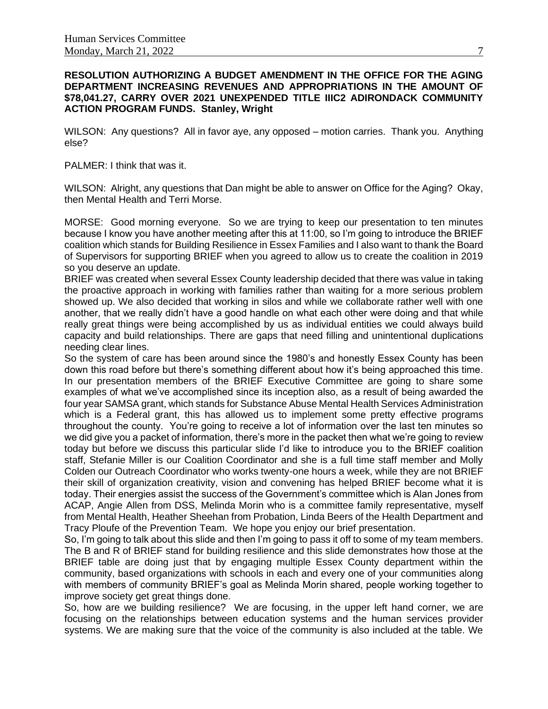# **RESOLUTION AUTHORIZING A BUDGET AMENDMENT IN THE OFFICE FOR THE AGING DEPARTMENT INCREASING REVENUES AND APPROPRIATIONS IN THE AMOUNT OF \$78,041.27, CARRY OVER 2021 UNEXPENDED TITLE IIIC2 ADIRONDACK COMMUNITY ACTION PROGRAM FUNDS. Stanley, Wright**

WILSON: Any questions? All in favor aye, any opposed – motion carries. Thank you. Anything else?

#### PALMER: I think that was it.

WILSON: Alright, any questions that Dan might be able to answer on Office for the Aging? Okay, then Mental Health and Terri Morse.

MORSE: Good morning everyone. So we are trying to keep our presentation to ten minutes because I know you have another meeting after this at 11:00, so I'm going to introduce the BRIEF coalition which stands for Building Resilience in Essex Families and I also want to thank the Board of Supervisors for supporting BRIEF when you agreed to allow us to create the coalition in 2019 so you deserve an update.

BRIEF was created when several Essex County leadership decided that there was value in taking the proactive approach in working with families rather than waiting for a more serious problem showed up. We also decided that working in silos and while we collaborate rather well with one another, that we really didn't have a good handle on what each other were doing and that while really great things were being accomplished by us as individual entities we could always build capacity and build relationships. There are gaps that need filling and unintentional duplications needing clear lines.

So the system of care has been around since the 1980's and honestly Essex County has been down this road before but there's something different about how it's being approached this time. In our presentation members of the BRIEF Executive Committee are going to share some examples of what we've accomplished since its inception also, as a result of being awarded the four year SAMSA grant, which stands for Substance Abuse Mental Health Services Administration which is a Federal grant, this has allowed us to implement some pretty effective programs throughout the county. You're going to receive a lot of information over the last ten minutes so we did give you a packet of information, there's more in the packet then what we're going to review today but before we discuss this particular slide I'd like to introduce you to the BRIEF coalition staff, Stefanie Miller is our Coalition Coordinator and she is a full time staff member and Molly Colden our Outreach Coordinator who works twenty-one hours a week, while they are not BRIEF their skill of organization creativity, vision and convening has helped BRIEF become what it is today. Their energies assist the success of the Government's committee which is Alan Jones from ACAP, Angie Allen from DSS, Melinda Morin who is a committee family representative, myself from Mental Health, Heather Sheehan from Probation, Linda Beers of the Health Department and Tracy Ploufe of the Prevention Team. We hope you enjoy our brief presentation.

So, I'm going to talk about this slide and then I'm going to pass it off to some of my team members. The B and R of BRIEF stand for building resilience and this slide demonstrates how those at the BRIEF table are doing just that by engaging multiple Essex County department within the community, based organizations with schools in each and every one of your communities along with members of community BRIEF's goal as Melinda Morin shared, people working together to improve society get great things done.

So, how are we building resilience? We are focusing, in the upper left hand corner, we are focusing on the relationships between education systems and the human services provider systems. We are making sure that the voice of the community is also included at the table. We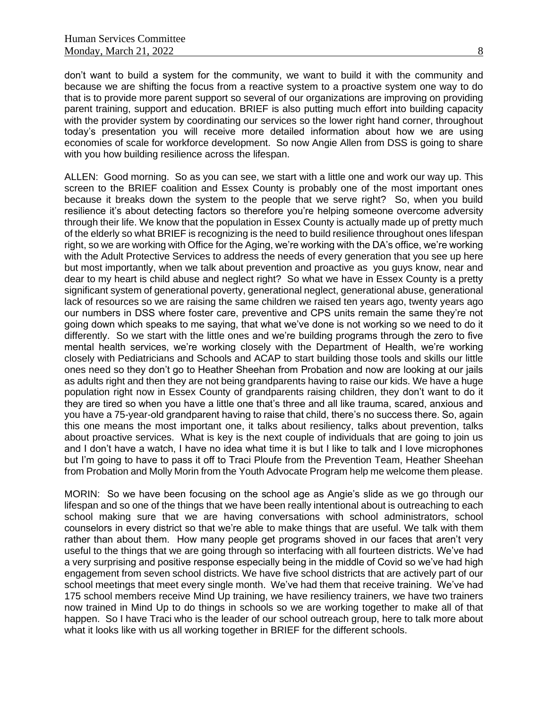don't want to build a system for the community, we want to build it with the community and because we are shifting the focus from a reactive system to a proactive system one way to do that is to provide more parent support so several of our organizations are improving on providing parent training, support and education. BRIEF is also putting much effort into building capacity with the provider system by coordinating our services so the lower right hand corner, throughout today's presentation you will receive more detailed information about how we are using economies of scale for workforce development. So now Angie Allen from DSS is going to share with you how building resilience across the lifespan.

ALLEN: Good morning. So as you can see, we start with a little one and work our way up. This screen to the BRIEF coalition and Essex County is probably one of the most important ones because it breaks down the system to the people that we serve right? So, when you build resilience it's about detecting factors so therefore you're helping someone overcome adversity through their life. We know that the population in Essex County is actually made up of pretty much of the elderly so what BRIEF is recognizing is the need to build resilience throughout ones lifespan right, so we are working with Office for the Aging, we're working with the DA's office, we're working with the Adult Protective Services to address the needs of every generation that you see up here but most importantly, when we talk about prevention and proactive as you guys know, near and dear to my heart is child abuse and neglect right? So what we have in Essex County is a pretty significant system of generational poverty, generational neglect, generational abuse, generational lack of resources so we are raising the same children we raised ten years ago, twenty years ago our numbers in DSS where foster care, preventive and CPS units remain the same they're not going down which speaks to me saying, that what we've done is not working so we need to do it differently. So we start with the little ones and we're building programs through the zero to five mental health services, we're working closely with the Department of Health, we're working closely with Pediatricians and Schools and ACAP to start building those tools and skills our little ones need so they don't go to Heather Sheehan from Probation and now are looking at our jails as adults right and then they are not being grandparents having to raise our kids. We have a huge population right now in Essex County of grandparents raising children, they don't want to do it they are tired so when you have a little one that's three and all like trauma, scared, anxious and you have a 75-year-old grandparent having to raise that child, there's no success there. So, again this one means the most important one, it talks about resiliency, talks about prevention, talks about proactive services. What is key is the next couple of individuals that are going to join us and I don't have a watch, I have no idea what time it is but I like to talk and I love microphones but I'm going to have to pass it off to Traci Ploufe from the Prevention Team, Heather Sheehan from Probation and Molly Morin from the Youth Advocate Program help me welcome them please.

MORIN: So we have been focusing on the school age as Angie's slide as we go through our lifespan and so one of the things that we have been really intentional about is outreaching to each school making sure that we are having conversations with school administrators, school counselors in every district so that we're able to make things that are useful. We talk with them rather than about them. How many people get programs shoved in our faces that aren't very useful to the things that we are going through so interfacing with all fourteen districts. We've had a very surprising and positive response especially being in the middle of Covid so we've had high engagement from seven school districts. We have five school districts that are actively part of our school meetings that meet every single month. We've had them that receive training. We've had 175 school members receive Mind Up training, we have resiliency trainers, we have two trainers now trained in Mind Up to do things in schools so we are working together to make all of that happen. So I have Traci who is the leader of our school outreach group, here to talk more about what it looks like with us all working together in BRIEF for the different schools.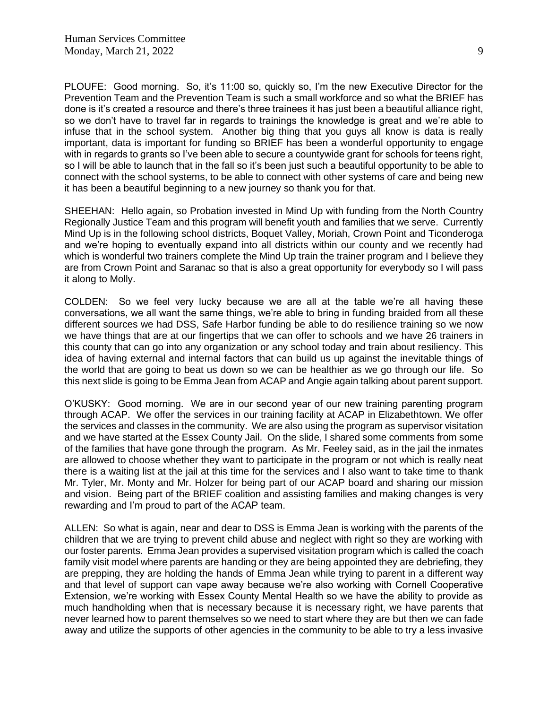PLOUFE: Good morning. So, it's 11:00 so, quickly so, I'm the new Executive Director for the Prevention Team and the Prevention Team is such a small workforce and so what the BRIEF has done is it's created a resource and there's three trainees it has just been a beautiful alliance right, so we don't have to travel far in regards to trainings the knowledge is great and we're able to infuse that in the school system. Another big thing that you guys all know is data is really important, data is important for funding so BRIEF has been a wonderful opportunity to engage with in regards to grants so I've been able to secure a countywide grant for schools for teens right, so I will be able to launch that in the fall so it's been just such a beautiful opportunity to be able to connect with the school systems, to be able to connect with other systems of care and being new it has been a beautiful beginning to a new journey so thank you for that.

SHEEHAN: Hello again, so Probation invested in Mind Up with funding from the North Country Regionally Justice Team and this program will benefit youth and families that we serve. Currently Mind Up is in the following school districts, Boquet Valley, Moriah, Crown Point and Ticonderoga and we're hoping to eventually expand into all districts within our county and we recently had which is wonderful two trainers complete the Mind Up train the trainer program and I believe they are from Crown Point and Saranac so that is also a great opportunity for everybody so I will pass it along to Molly.

COLDEN: So we feel very lucky because we are all at the table we're all having these conversations, we all want the same things, we're able to bring in funding braided from all these different sources we had DSS, Safe Harbor funding be able to do resilience training so we now we have things that are at our fingertips that we can offer to schools and we have 26 trainers in this county that can go into any organization or any school today and train about resiliency. This idea of having external and internal factors that can build us up against the inevitable things of the world that are going to beat us down so we can be healthier as we go through our life. So this next slide is going to be Emma Jean from ACAP and Angie again talking about parent support.

O'KUSKY: Good morning. We are in our second year of our new training parenting program through ACAP. We offer the services in our training facility at ACAP in Elizabethtown. We offer the services and classes in the community. We are also using the program as supervisor visitation and we have started at the Essex County Jail. On the slide, I shared some comments from some of the families that have gone through the program. As Mr. Feeley said, as in the jail the inmates are allowed to choose whether they want to participate in the program or not which is really neat there is a waiting list at the jail at this time for the services and I also want to take time to thank Mr. Tyler, Mr. Monty and Mr. Holzer for being part of our ACAP board and sharing our mission and vision. Being part of the BRIEF coalition and assisting families and making changes is very rewarding and I'm proud to part of the ACAP team.

ALLEN: So what is again, near and dear to DSS is Emma Jean is working with the parents of the children that we are trying to prevent child abuse and neglect with right so they are working with our foster parents. Emma Jean provides a supervised visitation program which is called the coach family visit model where parents are handing or they are being appointed they are debriefing, they are prepping, they are holding the hands of Emma Jean while trying to parent in a different way and that level of support can vape away because we're also working with Cornell Cooperative Extension, we're working with Essex County Mental Health so we have the ability to provide as much handholding when that is necessary because it is necessary right, we have parents that never learned how to parent themselves so we need to start where they are but then we can fade away and utilize the supports of other agencies in the community to be able to try a less invasive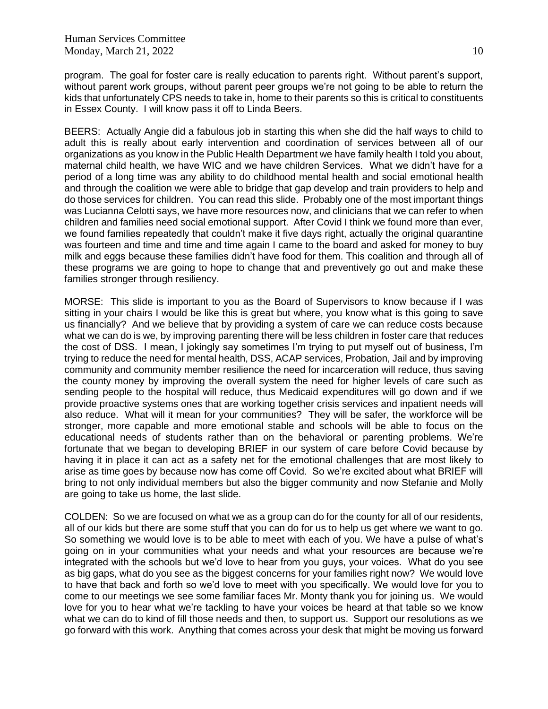program. The goal for foster care is really education to parents right. Without parent's support, without parent work groups, without parent peer groups we're not going to be able to return the kids that unfortunately CPS needs to take in, home to their parents so this is critical to constituents in Essex County. I will know pass it off to Linda Beers.

BEERS: Actually Angie did a fabulous job in starting this when she did the half ways to child to adult this is really about early intervention and coordination of services between all of our organizations as you know in the Public Health Department we have family health I told you about, maternal child health, we have WIC and we have children Services. What we didn't have for a period of a long time was any ability to do childhood mental health and social emotional health and through the coalition we were able to bridge that gap develop and train providers to help and do those services for children. You can read this slide. Probably one of the most important things was Lucianna Celotti says, we have more resources now, and clinicians that we can refer to when children and families need social emotional support. After Covid I think we found more than ever, we found families repeatedly that couldn't make it five days right, actually the original quarantine was fourteen and time and time and time again I came to the board and asked for money to buy milk and eggs because these families didn't have food for them. This coalition and through all of these programs we are going to hope to change that and preventively go out and make these families stronger through resiliency.

MORSE: This slide is important to you as the Board of Supervisors to know because if I was sitting in your chairs I would be like this is great but where, you know what is this going to save us financially? And we believe that by providing a system of care we can reduce costs because what we can do is we, by improving parenting there will be less children in foster care that reduces the cost of DSS. I mean, I jokingly say sometimes I'm trying to put myself out of business, I'm trying to reduce the need for mental health, DSS, ACAP services, Probation, Jail and by improving community and community member resilience the need for incarceration will reduce, thus saving the county money by improving the overall system the need for higher levels of care such as sending people to the hospital will reduce, thus Medicaid expenditures will go down and if we provide proactive systems ones that are working together crisis services and inpatient needs will also reduce. What will it mean for your communities? They will be safer, the workforce will be stronger, more capable and more emotional stable and schools will be able to focus on the educational needs of students rather than on the behavioral or parenting problems. We're fortunate that we began to developing BRIEF in our system of care before Covid because by having it in place it can act as a safety net for the emotional challenges that are most likely to arise as time goes by because now has come off Covid. So we're excited about what BRIEF will bring to not only individual members but also the bigger community and now Stefanie and Molly are going to take us home, the last slide.

COLDEN: So we are focused on what we as a group can do for the county for all of our residents, all of our kids but there are some stuff that you can do for us to help us get where we want to go. So something we would love is to be able to meet with each of you. We have a pulse of what's going on in your communities what your needs and what your resources are because we're integrated with the schools but we'd love to hear from you guys, your voices. What do you see as big gaps, what do you see as the biggest concerns for your families right now? We would love to have that back and forth so we'd love to meet with you specifically. We would love for you to come to our meetings we see some familiar faces Mr. Monty thank you for joining us. We would love for you to hear what we're tackling to have your voices be heard at that table so we know what we can do to kind of fill those needs and then, to support us. Support our resolutions as we go forward with this work. Anything that comes across your desk that might be moving us forward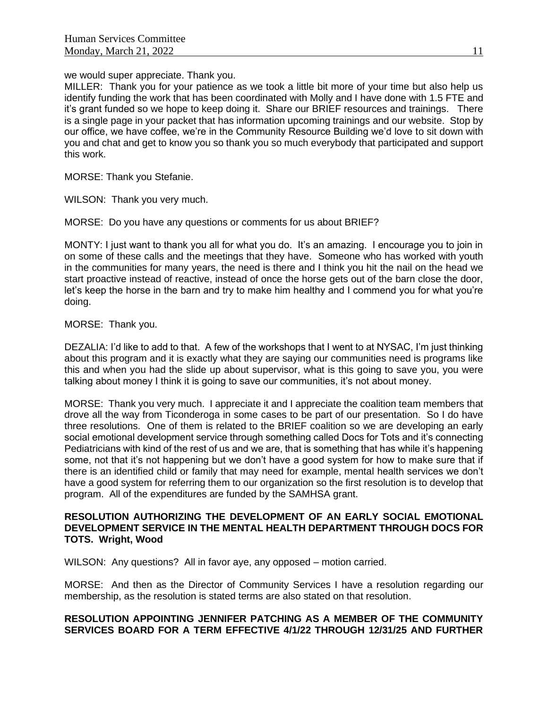we would super appreciate. Thank you.

MILLER: Thank you for your patience as we took a little bit more of your time but also help us identify funding the work that has been coordinated with Molly and I have done with 1.5 FTE and it's grant funded so we hope to keep doing it. Share our BRIEF resources and trainings. There is a single page in your packet that has information upcoming trainings and our website. Stop by our office, we have coffee, we're in the Community Resource Building we'd love to sit down with you and chat and get to know you so thank you so much everybody that participated and support this work.

MORSE: Thank you Stefanie.

WILSON: Thank you very much.

MORSE: Do you have any questions or comments for us about BRIEF?

MONTY: I just want to thank you all for what you do. It's an amazing. I encourage you to join in on some of these calls and the meetings that they have. Someone who has worked with youth in the communities for many years, the need is there and I think you hit the nail on the head we start proactive instead of reactive, instead of once the horse gets out of the barn close the door, let's keep the horse in the barn and try to make him healthy and I commend you for what you're doing.

# MORSE: Thank you.

DEZALIA: I'd like to add to that. A few of the workshops that I went to at NYSAC, I'm just thinking about this program and it is exactly what they are saying our communities need is programs like this and when you had the slide up about supervisor, what is this going to save you, you were talking about money I think it is going to save our communities, it's not about money.

MORSE: Thank you very much. I appreciate it and I appreciate the coalition team members that drove all the way from Ticonderoga in some cases to be part of our presentation. So I do have three resolutions. One of them is related to the BRIEF coalition so we are developing an early social emotional development service through something called Docs for Tots and it's connecting Pediatricians with kind of the rest of us and we are, that is something that has while it's happening some, not that it's not happening but we don't have a good system for how to make sure that if there is an identified child or family that may need for example, mental health services we don't have a good system for referring them to our organization so the first resolution is to develop that program. All of the expenditures are funded by the SAMHSA grant.

## **RESOLUTION AUTHORIZING THE DEVELOPMENT OF AN EARLY SOCIAL EMOTIONAL DEVELOPMENT SERVICE IN THE MENTAL HEALTH DEPARTMENT THROUGH DOCS FOR TOTS. Wright, Wood**

WILSON: Any questions? All in favor aye, any opposed – motion carried.

MORSE: And then as the Director of Community Services I have a resolution regarding our membership, as the resolution is stated terms are also stated on that resolution.

# **RESOLUTION APPOINTING JENNIFER PATCHING AS A MEMBER OF THE COMMUNITY SERVICES BOARD FOR A TERM EFFECTIVE 4/1/22 THROUGH 12/31/25 AND FURTHER**